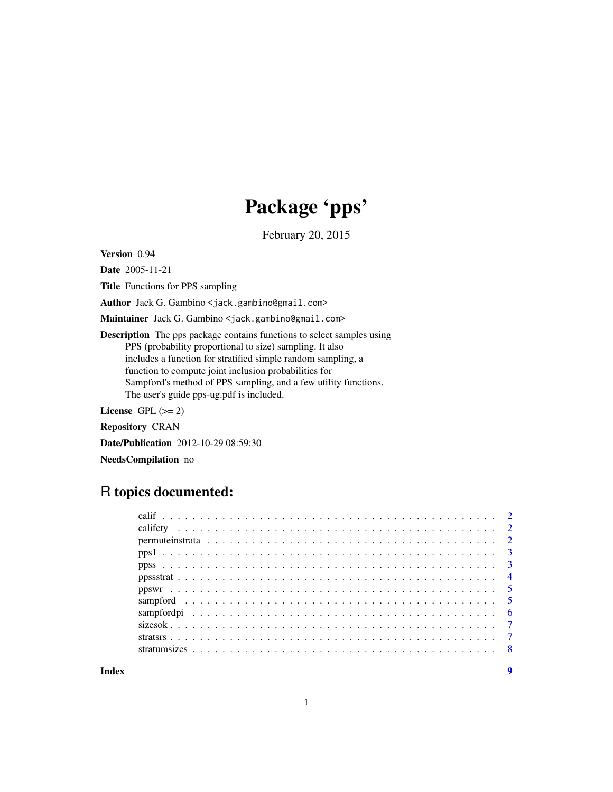## Package 'pps'

February 20, 2015

Version 0.94

Date 2005-11-21

Title Functions for PPS sampling

Author Jack G. Gambino <jack.gambino@gmail.com>

Maintainer Jack G. Gambino <jack.gambino@gmail.com>

Description The pps package contains functions to select samples using PPS (probability proportional to size) sampling. It also includes a function for stratified simple random sampling, a function to compute joint inclusion probabilities for Sampford's method of PPS sampling, and a few utility functions. The user's guide pps-ug.pdf is included.

License GPL  $(>= 2)$ 

Repository CRAN

Date/Publication 2012-10-29 08:59:30

NeedsCompilation no

### R topics documented:

**Index** [9](#page-8-0)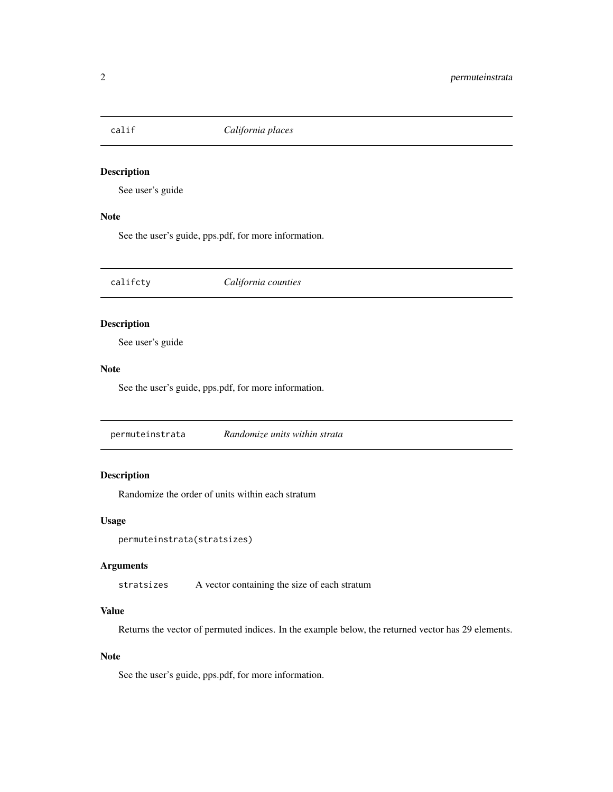<span id="page-1-0"></span>

#### Description

See user's guide

#### Note

See the user's guide, pps.pdf, for more information.

califcty *California counties*

#### Description

See user's guide

#### Note

See the user's guide, pps.pdf, for more information.

permuteinstrata *Randomize units within strata*

#### Description

Randomize the order of units within each stratum

#### Usage

```
permuteinstrata(stratsizes)
```
#### Arguments

stratsizes A vector containing the size of each stratum

#### Value

Returns the vector of permuted indices. In the example below, the returned vector has 29 elements.

#### Note

See the user's guide, pps.pdf, for more information.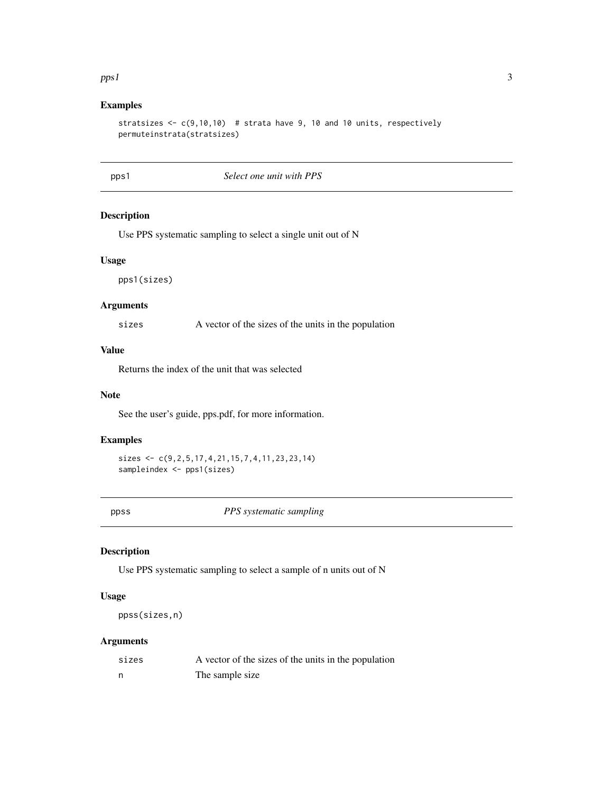#### <span id="page-2-0"></span> $pps1$  3

#### Examples

```
stratsizes \leq c(9,10,10) # strata have 9, 10 and 10 units, respectively
permuteinstrata(stratsizes)
```
#### pps1 *Select one unit with PPS*

#### Description

Use PPS systematic sampling to select a single unit out of N

#### Usage

pps1(sizes)

#### Arguments

sizes A vector of the sizes of the units in the population

#### Value

Returns the index of the unit that was selected

#### Note

See the user's guide, pps.pdf, for more information.

#### Examples

```
sizes <- c(9,2,5,17,4,21,15,7,4,11,23,23,14)
sampleindex <- pps1(sizes)
```
ppss *PPS systematic sampling*

#### Description

Use PPS systematic sampling to select a sample of n units out of N

#### Usage

ppss(sizes,n)

#### Arguments

| sizes | A vector of the sizes of the units in the population |
|-------|------------------------------------------------------|
| n     | The sample size                                      |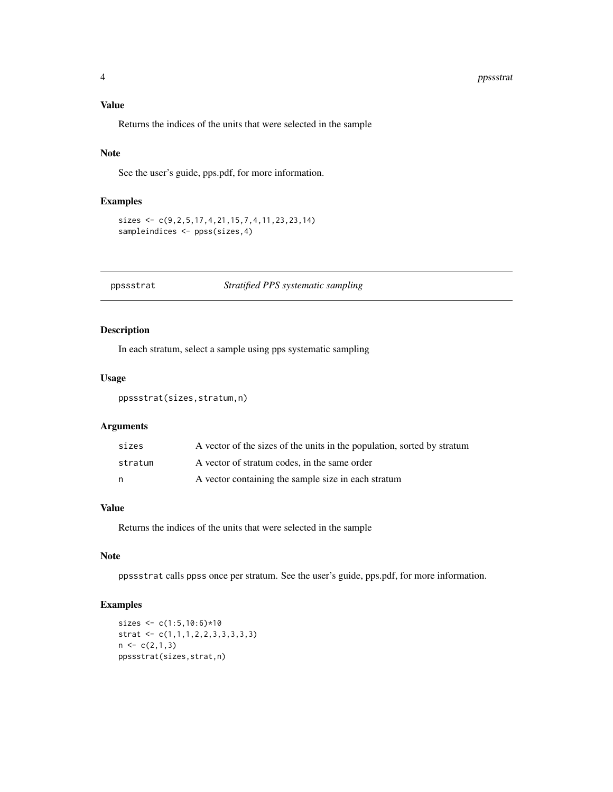#### <span id="page-3-0"></span>Value

Returns the indices of the units that were selected in the sample

#### Note

See the user's guide, pps.pdf, for more information.

#### Examples

```
sizes <- c(9,2,5,17,4,21,15,7,4,11,23,23,14)
sampleindices <- ppss(sizes,4)
```
#### ppssstrat *Stratified PPS systematic sampling*

#### Description

In each stratum, select a sample using pps systematic sampling

#### Usage

ppssstrat(sizes,stratum,n)

#### Arguments

| sizes   | A vector of the sizes of the units in the population, sorted by stratum |
|---------|-------------------------------------------------------------------------|
| stratum | A vector of stratum codes, in the same order                            |
| n       | A vector containing the sample size in each stratum                     |

#### Value

Returns the indices of the units that were selected in the sample

#### Note

ppssstrat calls ppss once per stratum. See the user's guide, pps.pdf, for more information.

#### Examples

```
sizes <- c(1:5,10:6)*10
strat <- c(1,1,1,2,2,3,3,3,3,3)
n \leftarrow c(2,1,3)ppssstrat(sizes,strat,n)
```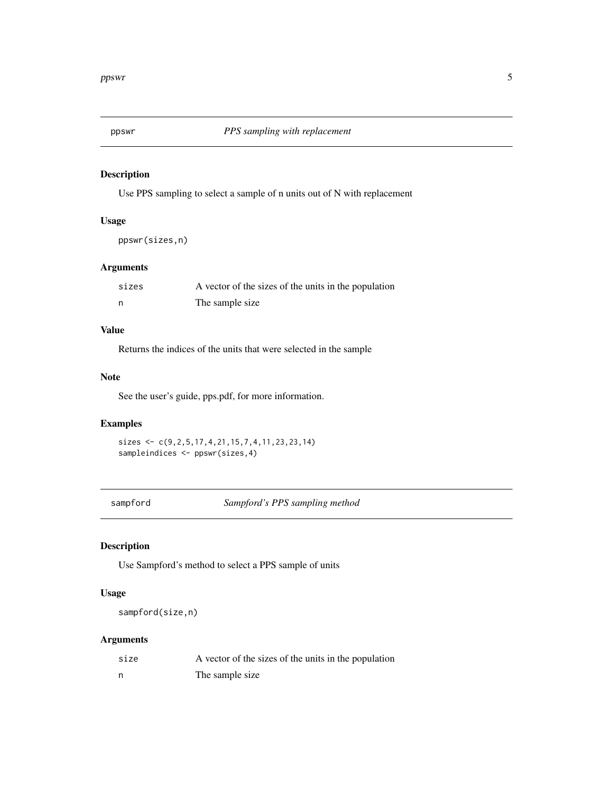<span id="page-4-0"></span>

#### Description

Use PPS sampling to select a sample of n units out of N with replacement

#### Usage

ppswr(sizes,n)

#### Arguments

| sizes | A vector of the sizes of the units in the population |
|-------|------------------------------------------------------|
|       | The sample size                                      |

#### Value

Returns the indices of the units that were selected in the sample

#### Note

See the user's guide, pps.pdf, for more information.

#### Examples

```
sizes <- c(9,2,5,17,4,21,15,7,4,11,23,23,14)
sampleindices <- ppswr(sizes,4)
```
sampford *Sampford's PPS sampling method*

#### Description

Use Sampford's method to select a PPS sample of units

#### Usage

sampford(size,n)

#### Arguments

| size | A vector of the sizes of the units in the population |
|------|------------------------------------------------------|
| n    | The sample size                                      |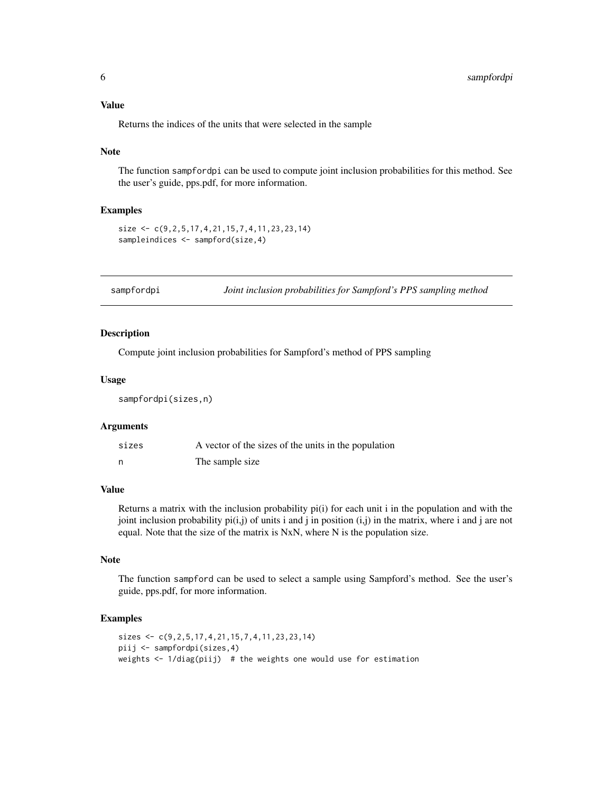<span id="page-5-0"></span>Returns the indices of the units that were selected in the sample

#### Note

The function sampfordpi can be used to compute joint inclusion probabilities for this method. See the user's guide, pps.pdf, for more information.

#### Examples

```
size <- c(9,2,5,17,4,21,15,7,4,11,23,23,14)
sampleindices <- sampford(size,4)
```
sampfordpi *Joint inclusion probabilities for Sampford's PPS sampling method*

#### Description

Compute joint inclusion probabilities for Sampford's method of PPS sampling

#### Usage

sampfordpi(sizes,n)

#### Arguments

| sizes | A vector of the sizes of the units in the population |
|-------|------------------------------------------------------|
|       | The sample size                                      |

#### Value

Returns a matrix with the inclusion probability pi(i) for each unit i in the population and with the joint inclusion probability  $pi(i,j)$  of units i and j in position  $(i,j)$  in the matrix, where i and j are not equal. Note that the size of the matrix is NxN, where N is the population size.

#### Note

The function sampford can be used to select a sample using Sampford's method. See the user's guide, pps.pdf, for more information.

#### Examples

```
sizes <- c(9,2,5,17,4,21,15,7,4,11,23,23,14)
piij <- sampfordpi(sizes,4)
weights <- 1/diag(piij) # the weights one would use for estimation
```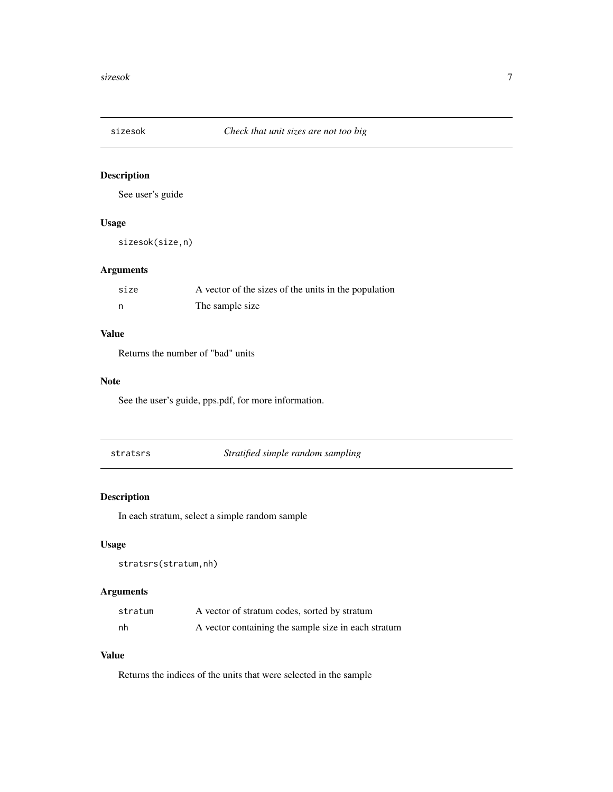<span id="page-6-0"></span>

#### Description

See user's guide

#### Usage

sizesok(size,n)

#### Arguments

| size | A vector of the sizes of the units in the population |
|------|------------------------------------------------------|
|      | The sample size                                      |

#### Value

Returns the number of "bad" units

#### Note

See the user's guide, pps.pdf, for more information.

stratsrs *Stratified simple random sampling*

#### Description

In each stratum, select a simple random sample

#### Usage

```
stratsrs(stratum,nh)
```
#### Arguments

| stratum | A vector of stratum codes, sorted by stratum        |
|---------|-----------------------------------------------------|
| nh      | A vector containing the sample size in each stratum |

#### Value

Returns the indices of the units that were selected in the sample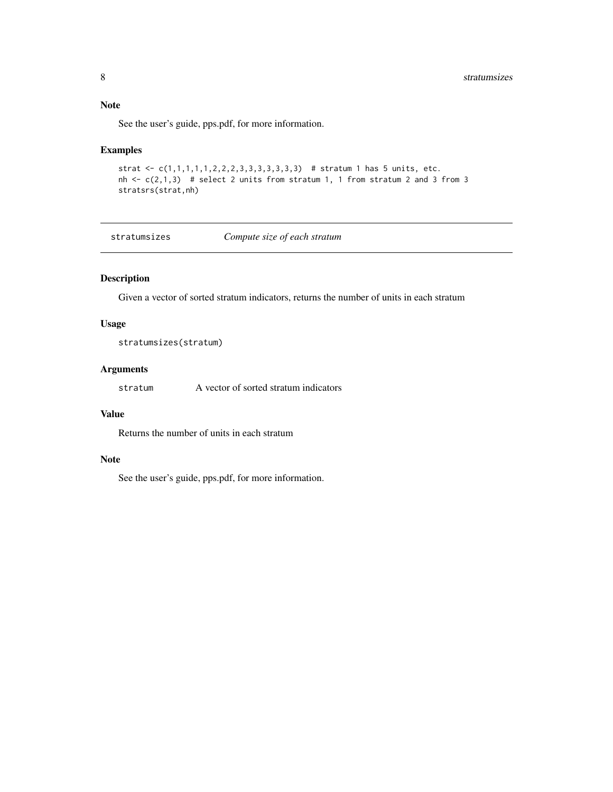#### <span id="page-7-0"></span>Note

See the user's guide, pps.pdf, for more information.

#### Examples

```
strat <- c(1,1,1,1,1,2,2,2,3,3,3,3,3,3,3) # stratum 1 has 5 units, etc.
nh \leq c(2,1,3) # select 2 units from stratum 1, 1 from stratum 2 and 3 from 3
stratsrs(strat,nh)
```
stratumsizes *Compute size of each stratum*

#### Description

Given a vector of sorted stratum indicators, returns the number of units in each stratum

#### Usage

```
stratumsizes(stratum)
```
#### Arguments

stratum A vector of sorted stratum indicators

#### Value

Returns the number of units in each stratum

#### Note

See the user's guide, pps.pdf, for more information.